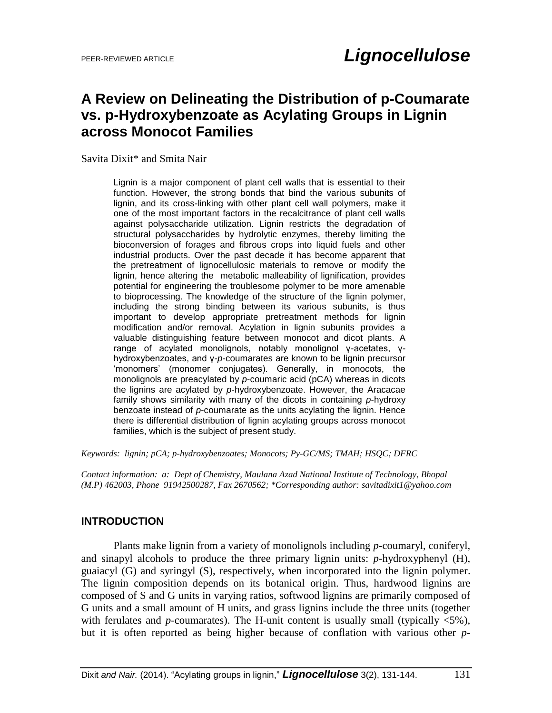# **A Review on Delineating the Distribution of p-Coumarate vs. p-Hydroxybenzoate as Acylating Groups in Lignin across Monocot Families**

Savita Dixit\* and Smita Nair

Lignin is a major component of plant cell walls that is essential to their function. However, the strong bonds that bind the various subunits of lignin, and its cross-linking with other plant cell wall polymers, make it one of the most important factors in the recalcitrance of plant cell walls against polysaccharide utilization. Lignin restricts the degradation of structural polysaccharides by hydrolytic enzymes, thereby limiting the bioconversion of forages and fibrous crops into liquid fuels and other industrial products. Over the past decade it has become apparent that the pretreatment of lignocellulosic materials to remove or modify the lignin, hence altering the metabolic malleability of lignification, provides potential for engineering the troublesome polymer to be more amenable to bioprocessing. The knowledge of the structure of the lignin polymer, including the strong binding between its various subunits, is thus important to develop appropriate pretreatment methods for lignin modification and/or removal. Acylation in lignin subunits provides a valuable distinguishing feature between monocot and dicot plants. A range of acylated monolignols, notably monolignol γ-acetates, γhydroxybenzoates, and γ-*p*-coumarates are known to be lignin precursor 'monomers' (monomer conjugates). Generally, in monocots, the monolignols are preacylated by *p*-coumaric acid (pCA) whereas in dicots the lignins are acylated by *p*-hydroxybenzoate. However, the Aracacae family shows similarity with many of the dicots in containing *p*-hydroxy benzoate instead of *p*-coumarate as the units acylating the lignin. Hence there is differential distribution of lignin acylating groups across monocot families, which is the subject of present study.

*Keywords: lignin; pCA; p-hydroxybenzoates; Monocots; Py-GC/MS; TMAH; HSQC; DFRC*

*Contact information: a: Dept of Chemistry, Maulana Azad National Institute of Technology, Bhopal (M.P) 462003, Phone 91942500287, Fax 2670562; \*Corresponding author: savitadixit1@yahoo.com*

### **INTRODUCTION**

Plants make lignin from a variety of monolignols including *p*-coumaryl, coniferyl, and sinapyl alcohols to produce the three primary lignin units: *p*-hydroxyphenyl (H), guaiacyl (G) and syringyl (S), respectively, when incorporated into the lignin polymer. The lignin composition depends on its botanical origin. Thus, hardwood lignins are composed of S and G units in varying ratios, softwood lignins are primarily composed of G units and a small amount of H units, and grass lignins include the three units (together with ferulates and *p*-coumarates). The H-unit content is usually small (typically  $\langle 5\% \rangle$ , but it is often reported as being higher because of conflation with various other *p*-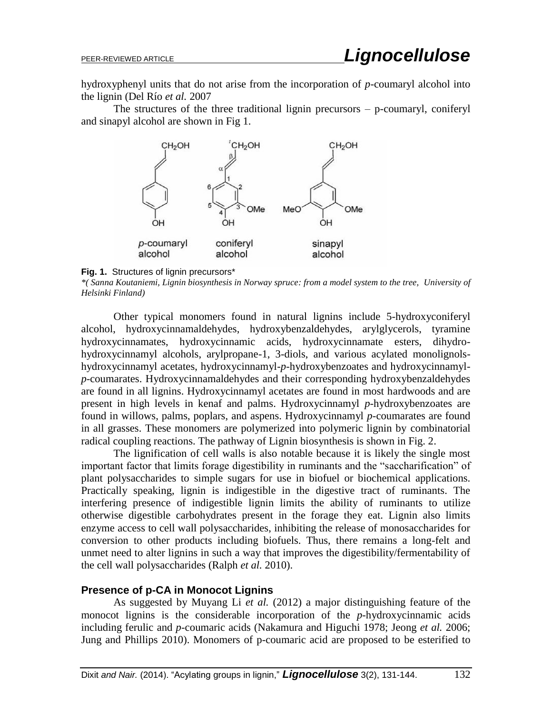hydroxyphenyl units that do not arise from the incorporation of *p*-coumaryl alcohol into the lignin (Del Río *et al.* 2007

The structures of the three traditional lignin precursors – p-coumaryl, coniferyl and sinapyl alcohol are shown in Fig 1.





*\*( Sanna Koutaniemi, Lignin biosynthesis in Norway spruce: from a model system to the tree, University of Helsinki Finland)*

Other typical monomers found in natural lignins include 5-hydroxyconiferyl alcohol, hydroxycinnamaldehydes, hydroxybenzaldehydes, arylglycerols, tyramine hydroxycinnamates, hydroxycinnamic acids, hydroxycinnamate esters, dihydrohydroxycinnamyl alcohols, arylpropane-1, 3-diols, and various acylated monolignolshydroxycinnamyl acetates, hydroxycinnamyl-*p*-hydroxybenzoates and hydroxycinnamyl*p*-coumarates. Hydroxycinnamaldehydes and their corresponding hydroxybenzaldehydes are found in all lignins. Hydroxycinnamyl acetates are found in most hardwoods and are present in high levels in kenaf and palms. Hydroxycinnamyl *p*-hydroxybenzoates are found in willows, palms, poplars, and aspens. Hydroxycinnamyl *p*-coumarates are found in all grasses. These monomers are polymerized into polymeric lignin by combinatorial radical coupling reactions. The pathway of Lignin biosynthesis is shown in Fig. 2.

The lignification of cell walls is also notable because it is likely the single most important factor that limits forage digestibility in ruminants and the "saccharification" of plant polysaccharides to simple sugars for use in biofuel or biochemical applications. Practically speaking, lignin is indigestible in the digestive tract of ruminants. The interfering presence of indigestible lignin limits the ability of ruminants to utilize otherwise digestible carbohydrates present in the forage they eat. Lignin also limits enzyme access to cell wall polysaccharides, inhibiting the release of monosaccharides for conversion to other products including biofuels. Thus, there remains a long-felt and unmet need to alter lignins in such a way that improves the digestibility/fermentability of the cell wall polysaccharides (Ralph *et al.* 2010).

### **Presence of p-CA in Monocot Lignins**

As suggested by Muyang Li *et al.* (2012) a major distinguishing feature of the monocot lignins is the considerable incorporation of the *p*-hydroxycinnamic acids including ferulic and *p*-coumaric acids (Nakamura and Higuchi 1978; Jeong *et al.* 2006; Jung and Phillips 2010). Monomers of p-coumaric acid are proposed to be esterified to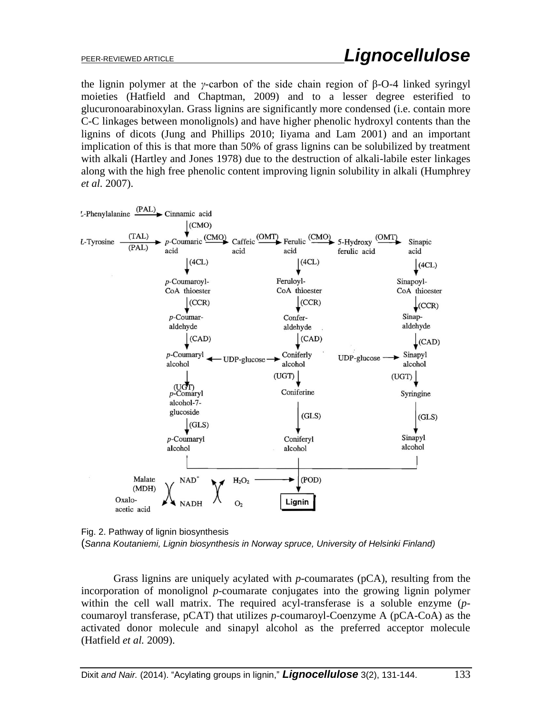the lignin polymer at the *γ*-carbon of the side chain region of β-O-4 linked syringyl moieties (Hatfield and Chaptman, 2009) and to a lesser degree esterified to glucuronoarabinoxylan. Grass lignins are significantly more condensed (i.e. contain more C-C linkages between monolignols) and have higher phenolic hydroxyl contents than the lignins of dicots (Jung and Phillips 2010; Iiyama and Lam 2001) and an important implication of this is that more than 50% of grass lignins can be solubilized by treatment with alkali (Hartley and Jones 1978) due to the destruction of alkali-labile ester linkages along with the high free phenolic content improving lignin solubility in alkali (Humphrey *et al.* 2007).



Fig. 2. Pathway of lignin biosynthesis (*Sanna Koutaniemi, Lignin biosynthesis in Norway spruce, University of Helsinki Finland)*

Grass lignins are uniquely acylated with *p*-coumarates (pCA), resulting from the incorporation of monolignol *p*-coumarate conjugates into the growing lignin polymer within the cell wall matrix. The required acyl-transferase is a soluble enzyme (*p*coumaroyl transferase, pCAT) that utilizes *p*-coumaroyl-Coenzyme A (pCA-CoA) as the activated donor molecule and sinapyl alcohol as the preferred acceptor molecule (Hatfield *et al.* 2009).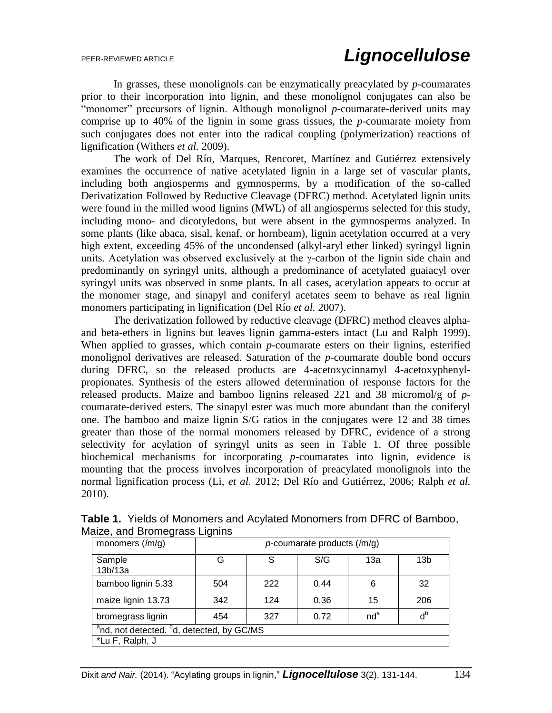In grasses, these monolignols can be enzymatically preacylated by *p*-coumarates prior to their incorporation into lignin, and these monolignol conjugates can also be "monomer" precursors of lignin. Although monolignol *p*-coumarate-derived units may comprise up to 40% of the lignin in some grass tissues, the *p*-coumarate moiety from such conjugates does not enter into the radical coupling (polymerization) reactions of lignification (Withers *et al.* 2009).

The work of Del Río, Marques, Rencoret, Martínez and Gutiérrez extensively examines the occurrence of native acetylated lignin in a large set of vascular plants, including both angiosperms and gymnosperms, by a modification of the so-called Derivatization Followed by Reductive Cleavage (DFRC) method. Acetylated lignin units were found in the milled wood lignins (MWL) of all angiosperms selected for this study, including mono- and dicotyledons, but were absent in the gymnosperms analyzed. In some plants (like abaca, sisal, kenaf, or hornbeam), lignin acetylation occurred at a very high extent, exceeding 45% of the uncondensed (alkyl-aryl ether linked) syringyl lignin units. Acetylation was observed exclusively at the γ-carbon of the lignin side chain and predominantly on syringyl units, although a predominance of acetylated guaiacyl over syringyl units was observed in some plants. In all cases, acetylation appears to occur at the monomer stage, and sinapyl and coniferyl acetates seem to behave as real lignin monomers participating in lignification (Del Río *et al.* 2007).

The derivatization followed by reductive cleavage (DFRC) method cleaves alphaand beta-ethers in lignins but leaves lignin gamma-esters intact (Lu and Ralph 1999). When applied to grasses, which contain *p*-coumarate esters on their lignins, esterified monolignol derivatives are released. Saturation of the *p*-coumarate double bond occurs during DFRC, so the released products are 4-acetoxycinnamyl 4-acetoxyphenylpropionates. Synthesis of the esters allowed determination of response factors for the released products. Maize and bamboo lignins released 221 and 38 micromol/g of *p*coumarate-derived esters. The sinapyl ester was much more abundant than the coniferyl one. The bamboo and maize lignin S/G ratios in the conjugates were 12 and 38 times greater than those of the normal monomers released by DFRC, evidence of a strong selectivity for acylation of syringyl units as seen in Table 1. Of three possible biochemical mechanisms for incorporating *p*-coumarates into lignin, evidence is mounting that the process involves incorporation of preacylated monolignols into the normal lignification process (Li, *et al.* 2012; Del Río and Gutiérrez, 2006; Ralph *et al.*  2010).

| monomers $(\textit{im/q})$                                        | $p$ -coumarate products ( $\text{fm/q}$ ) |     |      |                 |                 |
|-------------------------------------------------------------------|-------------------------------------------|-----|------|-----------------|-----------------|
| Sample<br>13b/13a                                                 | G                                         | S   | S/G  | 13a             | 13 <sub>b</sub> |
| bamboo lignin 5.33                                                | 504                                       | 222 | 0.44 | 6               | 32              |
| maize lignin 13.73                                                | 342                                       | 124 | 0.36 | 15              | 206             |
| bromegrass lignin                                                 | 454                                       | 327 | 0.72 | nd <sup>a</sup> | $d^b$           |
| <sup>a</sup> nd, not detected. <sup>b</sup> d, detected, by GC/MS |                                           |     |      |                 |                 |
| *Lu F, Ralph, J                                                   |                                           |     |      |                 |                 |

**Table 1.** Yields of Monomers and Acylated Monomers from DFRC of Bamboo, Maize, and Bromegrass Lignins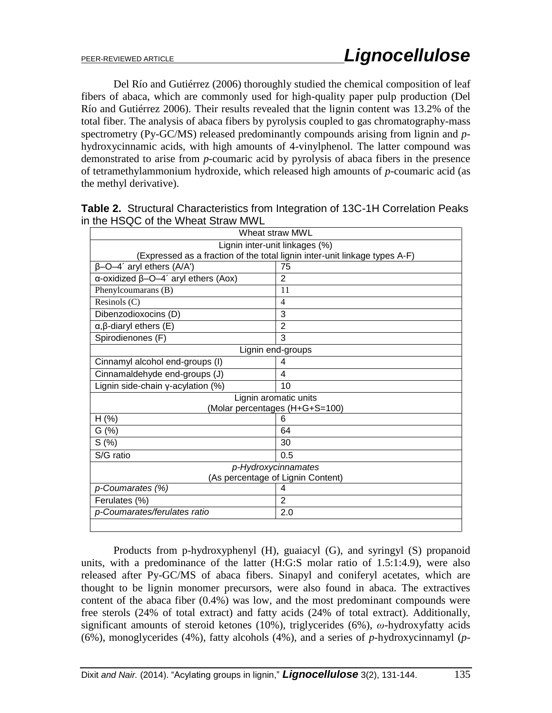Del Río and Gutiérrez (2006) thoroughly studied the chemical composition of leaf fibers of abaca, which are commonly used for high-quality paper pulp production (Del Río and Gutiérrez 2006). Their results revealed that the lignin content was 13.2% of the total fiber. The analysis of abaca fibers by pyrolysis coupled to gas chromatography-mass spectrometry (Py-GC/MS) released predominantly compounds arising from lignin and *p*hydroxycinnamic acids, with high amounts of 4-vinylphenol. The latter compound was demonstrated to arise from *p*-coumaric acid by pyrolysis of abaca fibers in the presence of tetramethylammonium hydroxide, which released high amounts of *p*-coumaric acid (as the methyl derivative).

| ard Front and Milbar Straw Mill<br>Wheat straw MWL                               |                |  |  |  |
|----------------------------------------------------------------------------------|----------------|--|--|--|
| Lignin inter-unit linkages (%)                                                   |                |  |  |  |
| (Expressed as a fraction of the total lignin inter-unit linkage types A-F)       |                |  |  |  |
| $\beta$ -O-4' aryl ethers (A/A')                                                 | 75             |  |  |  |
| $\alpha$ -oxidized $\beta$ -O-4 <sup><math>\alpha</math></sup> aryl ethers (Aox) | $\overline{2}$ |  |  |  |
| Phenylcoumarans (B)                                                              | 11             |  |  |  |
| Resinols $(C)$                                                                   | 4              |  |  |  |
| Dibenzodioxocins (D)                                                             | 3              |  |  |  |
| $\alpha$ , $\beta$ -diaryl ethers (E)                                            | $\overline{2}$ |  |  |  |
| Spirodienones (F)                                                                | 3              |  |  |  |
| Lignin end-groups                                                                |                |  |  |  |
| Cinnamyl alcohol end-groups (I)                                                  | 4              |  |  |  |
| Cinnamaldehyde end-groups (J)                                                    | 4              |  |  |  |
| Lignin side-chain $y$ -acylation $(\%)$                                          | 10             |  |  |  |
| Lignin aromatic units                                                            |                |  |  |  |
| (Molar percentages (H+G+S=100)                                                   |                |  |  |  |
| $H$ (%)                                                                          | 6              |  |  |  |
| G(%)                                                                             | 64             |  |  |  |
| S(%)                                                                             | 30             |  |  |  |
| S/G ratio                                                                        | 0.5            |  |  |  |
| p-Hydroxycinnamates                                                              |                |  |  |  |
| (As percentage of Lignin Content)                                                |                |  |  |  |
| p-Coumarates (%)                                                                 | 4              |  |  |  |
| Ferulates (%)                                                                    | $\overline{2}$ |  |  |  |
| p-Coumarates/ferulates ratio                                                     | 2.0            |  |  |  |
|                                                                                  |                |  |  |  |

**Table 2.** Structural Characteristics from Integration of 13C-1H Correlation Peaks in the HSQC of the Wheat Straw MWL

Products from p-hydroxyphenyl (H), guaiacyl (G), and syringyl (S) propanoid units, with a predominance of the latter (H:G:S molar ratio of 1.5:1:4.9), were also released after Py-GC/MS of abaca fibers. Sinapyl and coniferyl acetates, which are thought to be lignin monomer precursors, were also found in abaca. The extractives content of the abaca fiber (0.4%) was low, and the most predominant compounds were free sterols (24% of total extract) and fatty acids (24% of total extract). Additionally, significant amounts of steroid ketones (10%), triglycerides (6%), *ω*-hydroxyfatty acids (6%), monoglycerides (4%), fatty alcohols (4%), and a series of *p*-hydroxycinnamyl (*p*-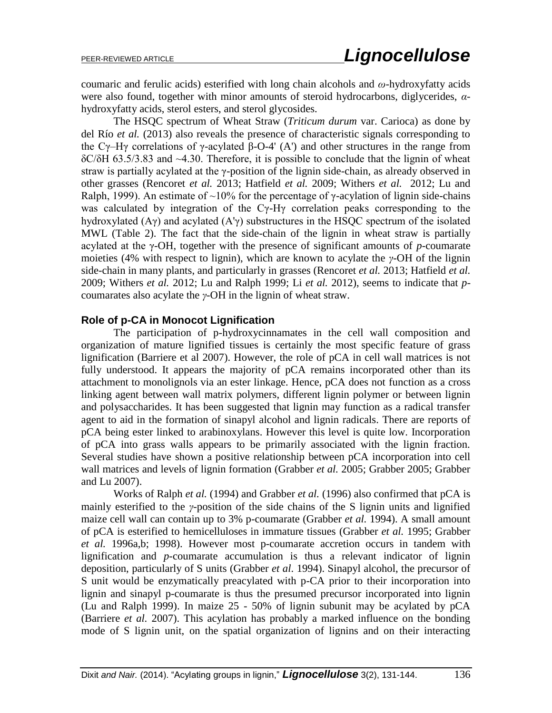coumaric and ferulic acids) esterified with long chain alcohols and *ω*-hydroxyfatty acids were also found, together with minor amounts of steroid hydrocarbons, diglycerides, *α*hydroxyfatty acids, sterol esters, and sterol glycosides.

The HSQC spectrum of Wheat Straw (*Triticum durum* var. Carioca) as done by del Río *et al.* (2013) also reveals the presence of characteristic signals corresponding to the Cγ–Hγ correlations of γ-acylated β-O-4' (A') and other structures in the range from δC/δH 63.5/3.83 and ~4.30. Therefore, it is possible to conclude that the lignin of wheat straw is partially acylated at the γ-position of the lignin side-chain, as already observed in other grasses (Rencoret *et al.* 2013; Hatfield *et al.* 2009; Withers *et al.* 2012; Lu and Ralph, 1999). An estimate of ~10% for the percentage of  $\gamma$ -acylation of lignin side-chains was calculated by integration of the Cγ-Hγ correlation peaks corresponding to the hydroxylated  $(A\gamma)$  and acylated  $(A'\gamma)$  substructures in the HSQC spectrum of the isolated MWL (Table 2). The fact that the side-chain of the lignin in wheat straw is partially acylated at the γ-OH, together with the presence of significant amounts of *p*-coumarate moieties (4% with respect to lignin), which are known to acylate the *γ*-OH of the lignin side-chain in many plants, and particularly in grasses (Rencoret *et al.* 2013; Hatfield *et al.* 2009; Withers *et al.* 2012; Lu and Ralph 1999; Li *et al.* 2012), seems to indicate that *p*coumarates also acylate the *γ*-OH in the lignin of wheat straw.

### **Role of p-CA in Monocot Lignification**

The participation of p-hydroxycinnamates in the cell wall composition and organization of mature lignified tissues is certainly the most specific feature of grass lignification (Barriere et al 2007). However, the role of pCA in cell wall matrices is not fully understood. It appears the majority of pCA remains incorporated other than its attachment to monolignols via an ester linkage. Hence, pCA does not function as a cross linking agent between wall matrix polymers, different lignin polymer or between lignin and polysaccharides. It has been suggested that lignin may function as a radical transfer agent to aid in the formation of sinapyl alcohol and lignin radicals. There are reports of pCA being ester linked to arabinoxylans. However this level is quite low. Incorporation of pCA into grass walls appears to be primarily associated with the lignin fraction. Several studies have shown a positive relationship between pCA incorporation into cell wall matrices and levels of lignin formation (Grabber *et al.* 2005; Grabber 2005; Grabber and Lu 2007).

Works of Ralph *et al.* (1994) and Grabber *et al.* (1996) also confirmed that pCA is mainly esterified to the *γ*-position of the side chains of the S lignin units and lignified maize cell wall can contain up to 3% p-coumarate (Grabber *et al.* 1994). A small amount of pCA is esterified to hemicelluloses in immature tissues (Grabber *et al.* 1995; Grabber *et al.* 1996a,b; 1998). However most p-coumarate accretion occurs in tandem with lignification and *p*-coumarate accumulation is thus a relevant indicator of lignin deposition, particularly of S units (Grabber *et al*. 1994). Sinapyl alcohol, the precursor of S unit would be enzymatically preacylated with p-CA prior to their incorporation into lignin and sinapyl p-coumarate is thus the presumed precursor incorporated into lignin (Lu and Ralph 1999). In maize 25 - 50% of lignin subunit may be acylated by pCA (Barriere *et al.* 2007). This acylation has probably a marked influence on the bonding mode of S lignin unit, on the spatial organization of lignins and on their interacting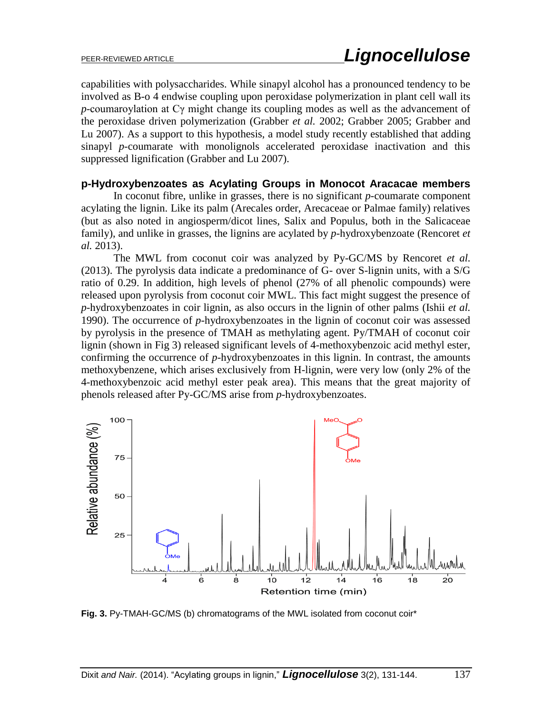capabilities with polysaccharides. While sinapyl alcohol has a pronounced tendency to be involved as B-o 4 endwise coupling upon peroxidase polymerization in plant cell wall its *p*-coumaroylation at Cγ might change its coupling modes as well as the advancement of the peroxidase driven polymerization (Grabber *et al.* 2002; Grabber 2005; Grabber and Lu 2007). As a support to this hypothesis, a model study recently established that adding sinapyl *p*-coumarate with monolignols accelerated peroxidase inactivation and this suppressed lignification (Grabber and Lu 2007).

#### **p-Hydroxybenzoates as Acylating Groups in Monocot Aracacae members**

In coconut fibre, unlike in grasses, there is no significant *p*-coumarate component acylating the lignin. Like its palm (Arecales order, Arecaceae or Palmae family) relatives (but as also noted in angiosperm/dicot lines, Salix and Populus, both in the Salicaceae family), and unlike in grasses, the lignins are acylated by *p*-hydroxybenzoate (Rencoret *et al.* 2013).

The MWL from coconut coir was analyzed by Py-GC/MS by Rencoret *et al.* (2013). The pyrolysis data indicate a predominance of G- over S-lignin units, with a S/G ratio of 0.29. In addition, high levels of phenol (27% of all phenolic compounds) were released upon pyrolysis from coconut coir MWL. This fact might suggest the presence of *p-*hydroxybenzoates in coir lignin, as also occurs in the lignin of other palms (Ishii *et al.*  1990). The occurrence of *p*-hydroxybenzoates in the lignin of coconut coir was assessed by pyrolysis in the presence of TMAH as methylating agent. Py/TMAH of coconut coir lignin (shown in Fig 3) released significant levels of 4-methoxybenzoic acid methyl ester, confirming the occurrence of *p*-hydroxybenzoates in this lignin. In contrast, the amounts methoxybenzene, which arises exclusively from H-lignin, were very low (only 2% of the 4-methoxybenzoic acid methyl ester peak area). This means that the great majority of phenols released after Py-GC/MS arise from *p*-hydroxybenzoates.



**Fig. 3.** Py-TMAH-GC/MS (b) chromatograms of the MWL isolated from coconut coir\*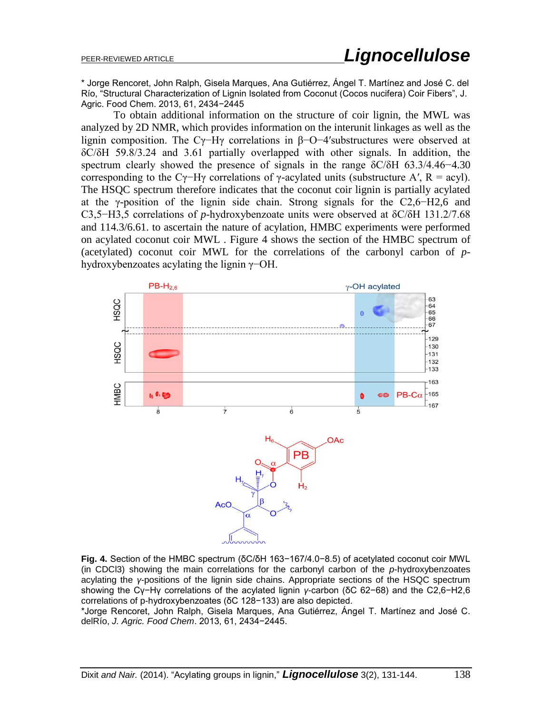\* Jorge Rencoret, John Ralph, Gisela Marques, Ana Gutiérrez, Ángel T. Martínez and José C. del Río, "Structural Characterization of Lignin Isolated from Coconut (Cocos nucifera) Coir Fibers", J. Agric. Food Chem. 2013, 61, 2434−2445

To obtain additional information on the structure of coir lignin, the MWL was analyzed by 2D NMR, which provides information on the interunit linkages as well as the lignin composition. The Cγ−Hγ correlations in β−O−4′substructures were observed at δC/δH 59.8/3.24 and 3.61 partially overlapped with other signals. In addition, the spectrum clearly showed the presence of signals in the range  $\delta$ C/δH 63.3/4.46−4.30 corresponding to the Cγ−Hγ correlations of γ-acylated units (substructure A', R = acyl). The HSQC spectrum therefore indicates that the coconut coir lignin is partially acylated at the γ-position of the lignin side chain. Strong signals for the  $C2,6-\text{H2},6$  and C3,5−H3,5 correlations of *p*-hydroxybenzoate units were observed at δC/δH 131.2/7.68 and 114.3/6.61. to ascertain the nature of acylation, HMBC experiments were performed on acylated coconut coir MWL . Figure 4 shows the section of the HMBC spectrum of (acetylated) coconut coir MWL for the correlations of the carbonyl carbon of *p*hydroxybenzoates acylating the lignin γ−OH.



**Fig. 4.** Section of the HMBC spectrum (δC/δH 163−167/4.0−8.5) of acetylated coconut coir MWL (in CDCl3) showing the main correlations for the carbonyl carbon of the *p*-hydroxybenzoates acylating the *γ*-positions of the lignin side chains. Appropriate sections of the HSQC spectrum showing the Cγ−Hγ correlations of the acylated lignin *γ*-carbon (δC 62−68) and the C2,6−H2,6 correlations of p-hydroxybenzoates (δC 128−133) are also depicted.

\*Jorge Rencoret, John Ralph, Gisela Marques, Ana Gutiérrez, Ángel T. Martínez and José C. delRío, *J. Agric. Food Chem*. 2013, 61, 2434−2445.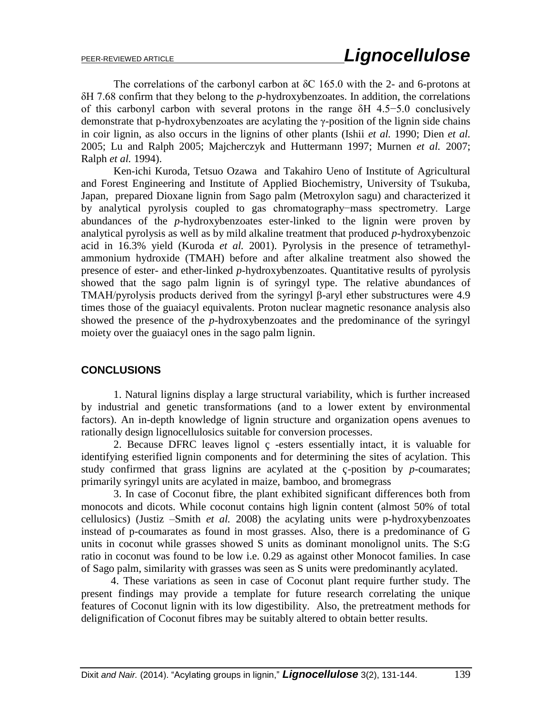The correlations of the carbonyl carbon at  $\delta$ C 165.0 with the 2- and 6-protons at δH 7.68 confirm that they belong to the *p*-hydroxybenzoates. In addition, the correlations of this carbonyl carbon with several protons in the range δH 4.5−5.0 conclusively demonstrate that p-hydroxybenzoates are acylating the γ-position of the lignin side chains in coir lignin, as also occurs in the lignins of other plants (Ishii *et al.* 1990; Dien *et al.* 2005; Lu and Ralph 2005; Majcherczyk and Huttermann 1997; Murnen *et al.* 2007; Ralph *et al.* 1994).

Ken-ichi Kuroda, Tetsuo Ozawa and Takahiro Ueno of Institute of Agricultural and Forest Engineering and Institute of Applied Biochemistry, University of Tsukuba, Japan, prepared Dioxane lignin from Sago palm (Metroxylon sagu) and characterized it by analytical pyrolysis coupled to gas chromatography−mass spectrometry. Large abundances of the *p*-hydroxybenzoates ester-linked to the lignin were proven by analytical pyrolysis as well as by mild alkaline treatment that produced *p*-hydroxybenzoic acid in 16.3% yield (Kuroda *et al.* 2001). Pyrolysis in the presence of tetramethylammonium hydroxide (TMAH) before and after alkaline treatment also showed the presence of ester- and ether-linked *p*-hydroxybenzoates. Quantitative results of pyrolysis showed that the sago palm lignin is of syringyl type. The relative abundances of TMAH/pyrolysis products derived from the syringyl β-aryl ether substructures were 4.9 times those of the guaiacyl equivalents. Proton nuclear magnetic resonance analysis also showed the presence of the *p*-hydroxybenzoates and the predominance of the syringyl moiety over the guaiacyl ones in the sago palm lignin.

### **CONCLUSIONS**

1. Natural lignins display a large structural variability, which is further increased by industrial and genetic transformations (and to a lower extent by environmental factors). An in-depth knowledge of lignin structure and organization opens avenues to rationally design lignocellulosics suitable for conversion processes.

2. Because DFRC leaves lignol ç -esters essentially intact, it is valuable for identifying esterified lignin components and for determining the sites of acylation. This study confirmed that grass lignins are acylated at the ç-position by *p*-coumarates; primarily syringyl units are acylated in maize, bamboo, and bromegrass

3. In case of Coconut fibre, the plant exhibited significant differences both from monocots and dicots. While coconut contains high lignin content (almost 50% of total cellulosics) (Justiz –Smith *et al.* 2008) the acylating units were p-hydroxybenzoates instead of p-coumarates as found in most grasses. Also, there is a predominance of G units in coconut while grasses showed S units as dominant monolignol units. The S:G ratio in coconut was found to be low i.e. 0.29 as against other Monocot families. In case of Sago palm, similarity with grasses was seen as S units were predominantly acylated.

 4. These variations as seen in case of Coconut plant require further study. The present findings may provide a template for future research correlating the unique features of Coconut lignin with its low digestibility. Also, the pretreatment methods for delignification of Coconut fibres may be suitably altered to obtain better results.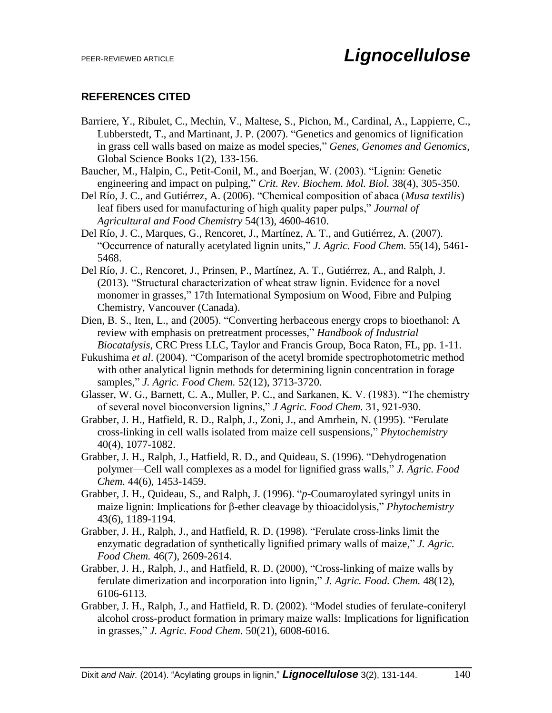## **REFERENCES CITED**

- Barriere, Y., Ribulet, C., Mechin, V., Maltese, S., Pichon, M., Cardinal, A., Lappierre, C., Lubberstedt, T., and Martinant, J. P. (2007). "Genetics and genomics of lignification in grass cell walls based on maize as model species," *Genes, Genomes and Genomics*, Global Science Books 1(2), 133-156.
- Baucher, M., Halpin, C., Petit-Conil, M., and Boerjan, W. (2003). "Lignin: Genetic engineering and impact on pulping," *Crit. Rev. Biochem. Mol. Biol.* 38(4), 305-350.
- Del Río, J. C., and Gutiérrez, A. (2006). "Chemical composition of abaca (*Musa textilis*) leaf fibers used for manufacturing of high quality paper pulps," *Journal of Agricultural and Food Chemistry* 54(13), 4600-4610.
- Del Río, J. C., Marques, G., Rencoret, J., Martínez, A. T., and Gutiérrez, A. (2007). "Occurrence of naturally acetylated lignin units," *J. Agric. Food Chem.* 55(14), 5461- 5468.
- Del Río, J. C., Rencoret, J., Prinsen, P., Martínez, A. T., Gutiérrez, A., and Ralph, J. (2013). "Structural characterization of wheat straw lignin. Evidence for a novel monomer in grasses," 17th International Symposium on Wood, Fibre and Pulping Chemistry, Vancouver (Canada).
- Dien, B. S., Iten, L., and (2005). "Converting herbaceous energy crops to bioethanol: A review with emphasis on pretreatment processes," *Handbook of Industrial Biocatalysis*, CRC Press LLC, Taylor and Francis Group, Boca Raton, FL, pp. 1-11.
- Fukushima *et al*. (2004). "Comparison of the acetyl bromide spectrophotometric method with other analytical lignin methods for determining lignin concentration in forage samples," *J. Agric. Food Chem.* 52(12), 3713-3720.
- Glasser, W. G., Barnett, C. A., Muller, P. C., and Sarkanen, K. V. (1983). "The chemistry of several novel bioconversion lignins," *J Agric. Food Chem.* 31, 921-930.
- Grabber, J. H., Hatfield, R. D., Ralph, J., Zoni, J., and Amrhein, N. (1995). "Ferulate cross-linking in cell walls isolated from maize cell suspensions," *Phytochemistry* 40(4), 1077-1082.
- Grabber, J. H., Ralph, J., Hatfield, R. D., and Quideau, S. (1996). "Dehydrogenation polymer—Cell wall complexes as a model for lignified grass walls," *J. Agric. Food Chem.* 44(6), 1453-1459.
- Grabber, J. H., Quideau, S., and Ralph, J. (1996). "*p*-Coumaroylated syringyl units in maize lignin: Implications for β-ether cleavage by thioacidolysis," *Phytochemistry* 43(6), 1189-1194.
- Grabber, J. H., Ralph, J., and Hatfield, R. D. (1998). "Ferulate cross-links limit the enzymatic degradation of synthetically lignified primary walls of maize," *J. Agric. Food Chem.* 46(7), 2609-2614.
- Grabber, J. H., Ralph, J., and Hatfield, R. D. (2000), "Cross-linking of maize walls by ferulate dimerization and incorporation into lignin," *J. Agric. Food. Chem.* 48(12), 6106-6113.
- Grabber, J. H., Ralph, J., and Hatfield, R. D. (2002). "Model studies of ferulate-coniferyl alcohol cross-product formation in primary maize walls: Implications for lignification in grasses," *J. Agric. Food Chem.* 50(21), 6008-6016.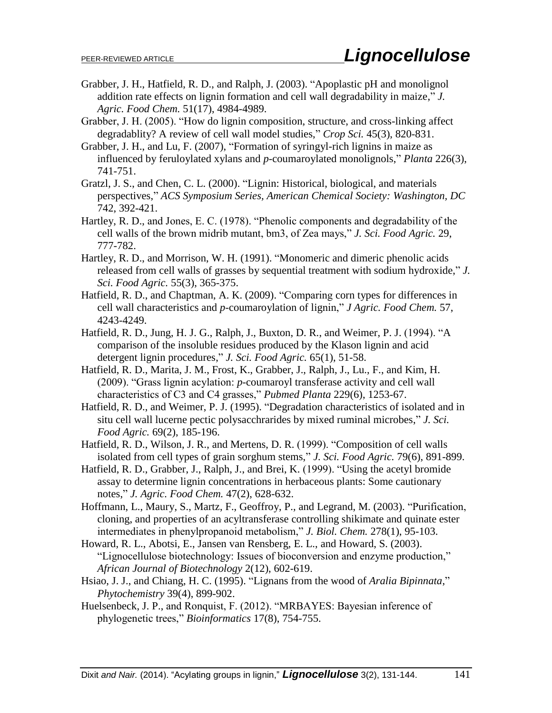- Grabber, J. H., Hatfield, R. D., and Ralph, J. (2003). "Apoplastic pH and monolignol addition rate effects on lignin formation and cell wall degradability in maize," *J. Agric. Food Chem.* 51(17), 4984-4989.
- Grabber, J. H. (2005). "How do lignin composition, structure, and cross-linking affect degradablity? A review of cell wall model studies," *Crop Sci.* 45(3), 820-831.
- Grabber, J. H., and Lu, F. (2007), "Formation of syringyl-rich lignins in maize as influenced by feruloylated xylans and *p*-coumaroylated monolignols," *Planta* 226(3), 741-751.
- Gratzl, J. S., and Chen, C. L. (2000). "Lignin: Historical, biological, and materials perspectives," *ACS Symposium Series, American Chemical Society: Washington, DC* 742, 392-421.
- Hartley, R. D., and Jones, E. C. (1978). "Phenolic components and degradability of the cell walls of the brown midrib mutant, bm3, of Zea mays," *J. Sci. Food Agric.* 29, 777-782.
- Hartley, R. D., and Morrison, W. H. (1991). "Monomeric and dimeric phenolic acids released from cell walls of grasses by sequential treatment with sodium hydroxide," *J. Sci. Food Agric.* 55(3), 365-375.
- Hatfield, R. D., and Chaptman, A. K. (2009). "Comparing corn types for differences in cell wall characteristics and *p*-coumaroylation of lignin," *J Agric. Food Chem.* 57, 4243-4249.
- Hatfield, R. D., Jung, H. J. G., Ralph, J., Buxton, D. R., and Weimer, P. J. (1994). "A comparison of the insoluble residues produced by the Klason lignin and acid detergent lignin procedures," *J. Sci. Food Agric.* 65(1), 51-58.
- Hatfield, R. D., Marita, J. M., Frost, K., Grabber, J., Ralph, J., Lu., F., and Kim, H. (2009). "Grass lignin acylation: *p*-coumaroyl transferase activity and cell wall characteristics of C3 and C4 grasses," *Pubmed Planta* 229(6), 1253-67.
- Hatfield, R. D., and Weimer, P. J. (1995). "Degradation characteristics of isolated and in situ cell wall lucerne pectic polysacchrarides by mixed ruminal microbes," *J. Sci. Food Agric.* 69(2), 185-196.
- Hatfield, R. D., Wilson, J. R., and Mertens, D. R. (1999). "Composition of cell walls isolated from cell types of grain sorghum stems," *J. Sci. Food Agric.* 79(6), 891-899.
- Hatfield, R. D., Grabber, J., Ralph, J., and Brei, K. (1999). "Using the acetyl bromide assay to determine lignin concentrations in herbaceous plants: Some cautionary notes," *J. Agric. Food Chem.* 47(2), 628-632.
- Hoffmann, L., Maury, S., Martz, F., Geoffroy, P., and Legrand, M. (2003). "Purification, cloning, and properties of an acyltransferase controlling shikimate and quinate ester intermediates in phenylpropanoid metabolism," *J. Biol. Chem.* 278(1), 95-103.
- Howard, R. L., Abotsi, E., Jansen van Rensberg, E. L., and Howard, S. (2003). "Lignocellulose biotechnology: Issues of bioconversion and enzyme production," *African Journal of Biotechnology* 2(12), 602-619.
- Hsiao, J. J., and Chiang, H. C. (1995). "Lignans from the wood of *Aralia Bipinnata*," *Phytochemistry* 39(4), 899-902.
- Huelsenbeck, J. P., and Ronquist, F. (2012). "MRBAYES: Bayesian inference of phylogenetic trees," *Bioinformatics* 17(8), 754-755.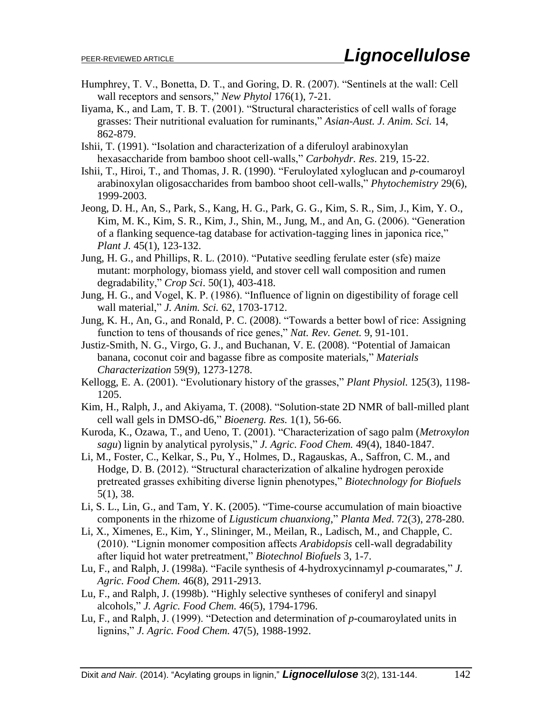- Humphrey, T. V., Bonetta, D. T., and Goring, D. R. (2007). "Sentinels at the wall: Cell wall receptors and sensors," *New Phytol* 176(1), 7-21.
- Iiyama, K., and Lam, T. B. T. (2001). "Structural characteristics of cell walls of forage grasses: Their nutritional evaluation for ruminants," *Asian-Aust. J. Anim. Sci.* 14, 862-879.
- Ishii, T. (1991). "Isolation and characterization of a diferuloyl arabinoxylan hexasaccharide from bamboo shoot cell-walls," *Carbohydr. Res*. 219, 15-22.
- Ishii, T., Hiroi, T., and Thomas, J. R. (1990). "Feruloylated xyloglucan and *p*-coumaroyl arabinoxylan oligosaccharides from bamboo shoot cell-walls," *Phytochemistry* 29(6), 1999-2003.
- Jeong, D. H., An, S., Park, S., Kang, H. G., Park, G. G., Kim, S. R., Sim, J., Kim, Y. O., Kim, M. K., Kim, S. R., Kim, J., Shin, M., Jung, M., and An, G. (2006). "Generation of a flanking sequence-tag database for activation-tagging lines in japonica rice," *Plant J.* 45(1), 123-132.
- Jung, H. G., and Phillips, R. L. (2010). "Putative seedling ferulate ester (sfe) maize mutant: morphology, biomass yield, and stover cell wall composition and rumen degradability," *Crop Sci*. 50(1), 403-418.
- Jung, H. G., and Vogel, K. P. (1986). "Influence of lignin on digestibility of forage cell wall material," *J. Anim. Sci.* 62, 1703-1712.
- Jung, K. H., An, G., and Ronald, P. C. (2008). "Towards a better bowl of rice: Assigning function to tens of thousands of rice genes," *Nat. Rev. Genet.* 9, 91-101.
- Justiz-Smith, N. G., Virgo, G. J., and Buchanan, V. E. (2008). "Potential of Jamaican banana, coconut coir and bagasse fibre as composite materials," *Materials Characterization* 59(9), 1273-1278.
- Kellogg, E. A. (2001). "Evolutionary history of the grasses," *Plant Physiol.* 125(3), 1198- 1205.
- Kim, H., Ralph, J., and Akiyama, T. (2008). "Solution-state 2D NMR of ball-milled plant cell wall gels in DMSO-d6," *Bioenerg. Res.* 1(1), 56-66.
- Kuroda, K., Ozawa, T., and Ueno, T. (2001). "Characterization of sago palm (*Metroxylon sagu*) lignin by analytical pyrolysis," *J. Agric. Food Chem.* 49(4), 1840-1847.
- Li, M., Foster, C., Kelkar, S., Pu, Y., Holmes, D., Ragauskas, A., Saffron, C. M., and Hodge, D. B. (2012). "Structural characterization of alkaline hydrogen peroxide pretreated grasses exhibiting diverse lignin phenotypes," *Biotechnology for Biofuels* 5(1), 38.
- Li, S. L., Lin, G., and Tam, Y. K. (2005). "Time-course accumulation of main bioactive components in the rhizome of *Ligusticum chuanxiong*," *Planta Med*. 72(3), 278-280.
- Li, X., Ximenes, E., Kim, Y., Slininger, M., Meilan, R., Ladisch, M., and Chapple, C. (2010). "Lignin monomer composition affects *Arabidopsis* cell-wall degradability after liquid hot water pretreatment," *Biotechnol Biofuels* 3, 1-7.
- Lu, F., and Ralph, J. (1998a). "Facile synthesis of 4-hydroxycinnamyl *p*-coumarates," *J. Agric. Food Chem.* 46(8), 2911-2913.
- Lu, F., and Ralph, J. (1998b). "Highly selective syntheses of coniferyl and sinapyl alcohols," *J. Agric. Food Chem.* 46(5), 1794-1796.
- Lu, F., and Ralph, J. (1999). "Detection and determination of *p*-coumaroylated units in lignins," *J. Agric. Food Chem.* 47(5), 1988-1992.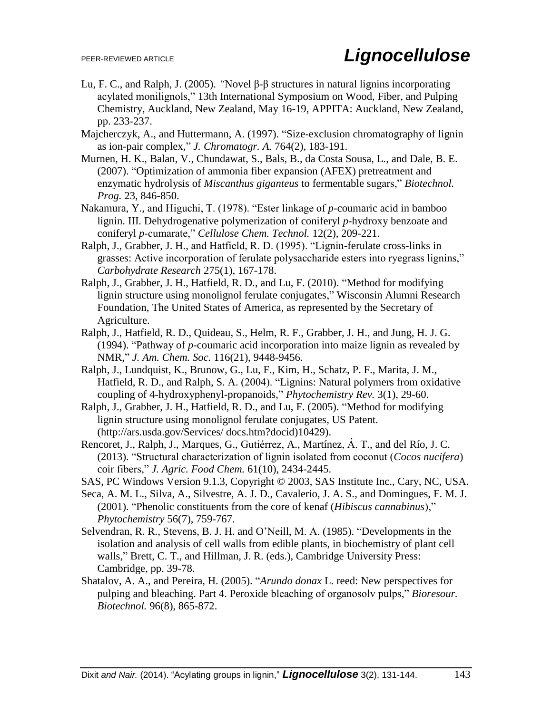- Lu, F. C., and Ralph, J. (2005). *"*Novel β-β structures in natural lignins incorporating acylated monilignols," 13th International Symposium on Wood, Fiber, and Pulping Chemistry, Auckland, New Zealand, May 16-19, APPITA: Auckland, New Zealand, pp. 233-237.
- Majcherczyk, A., and Huttermann, A. (1997). "Size-exclusion chromatography of lignin as ion-pair complex," *J. Chromatogr. A.* 764(2), 183-191.
- Murnen, H. K., Balan, V., Chundawat, S., Bals, B., da Costa Sousa, L., and Dale, B. E. (2007). "Optimization of ammonia fiber expansion (AFEX) pretreatment and enzymatic hydrolysis of *Miscanthus giganteus* to fermentable sugars," *Biotechnol. Prog.* 23, 846-850.
- Nakamura, Y., and Higuchi, T. (1978). "Ester linkage of *p*-coumaric acid in bamboo lignin. III. Dehydrogenative polymerization of coniferyl *p*-hydroxy benzoate and coniferyl *p*-cumarate," *Cellulose Chem. Technol.* 12(2), 209-221.
- Ralph, J., Grabber, J. H., and Hatfield, R. D. (1995). "Lignin-ferulate cross-links in grasses: Active incorporation of ferulate polysaccharide esters into ryegrass lignins," *Carbohydrate Research* 275(1), 167-178.
- Ralph, J., Grabber, J. H., Hatfield, R. D., and Lu, F. (2010). "Method for modifying lignin structure using monolignol ferulate conjugates," Wisconsin Alumni Research Foundation, The United States of America, as represented by the Secretary of Agriculture.
- Ralph, J., Hatfield, R. D., Quideau, S., Helm, R. F., Grabber, J. H., and Jung, H. J. G. (1994). "Pathway of *p*-coumaric acid incorporation into maize lignin as revealed by NMR," *J. Am. Chem. Soc.* 116(21), 9448-9456.
- Ralph, J., Lundquist, K., Brunow, G., Lu, F., Kim, H., Schatz, P. F., Marita, J. M., Hatfield, R. D., and Ralph, S. A. (2004). "Lignins: Natural polymers from oxidative coupling of 4-hydroxyphenyl-propanoids," *Phytochemistry Rev.* 3(1), 29-60.
- Ralph, J., Grabber, J. H., Hatfield, R. D., and Lu, F. (2005). "Method for modifying lignin structure using monolignol ferulate conjugates, US Patent. (http://ars.usda.gov/Services/ docs.htm?docid)10429).
- Rencoret, J., Ralph, J., Marques, G., Gutiérrez, A., Martínez, Á. T., and del Río, J. C. (2013). "Structural characterization of lignin isolated from coconut (*Cocos nucifera*) coir fibers," *J. Agric. Food Chem.* 61(10), 2434-2445.
- SAS, PC Windows Version 9.1.3, Copyright © 2003, SAS Institute Inc., Cary, NC, USA.
- Seca, A. M. L., Silva, A., Silvestre, A. J. D., Cavalerio, J. A. S., and Domingues, F. M. J. (2001). "Phenolic constituents from the core of kenaf (*Hibiscus cannabinus*)," *Phytochemistry* 56(7), 759-767.
- Selvendran, R. R., Stevens, B. J. H. and O'Neill, M. A. (1985). "Developments in the isolation and analysis of cell walls from edible plants, in biochemistry of plant cell walls," Brett, C. T., and Hillman, J. R. (eds.), Cambridge University Press: Cambridge, pp. 39-78.
- Shatalov, A. A., and Pereira, H. (2005). "*Arundo donax* L. reed: New perspectives for pulping and bleaching. Part 4. Peroxide bleaching of organosolv pulps," *Bioresour. Biotechnol.* 96(8), 865-872.